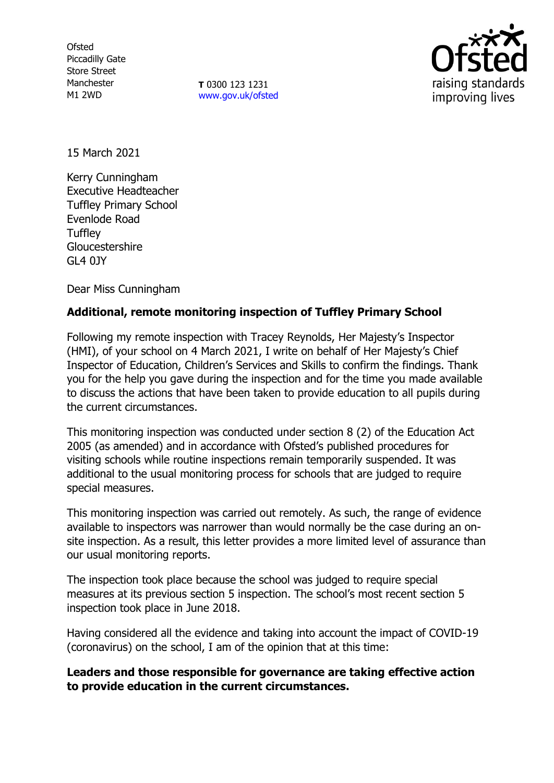**Ofsted** Piccadilly Gate Store Street Manchester M1 2WD

**T** 0300 123 1231 [www.gov.uk/ofsted](http://www.gov.uk/ofsted)



15 March 2021

Kerry Cunningham Executive Headteacher Tuffley Primary School Evenlode Road **Tuffley** Gloucestershire GL4 0JY

Dear Miss Cunningham

## **Additional, remote monitoring inspection of Tuffley Primary School**

Following my remote inspection with Tracey Reynolds, Her Majesty's Inspector (HMI), of your school on 4 March 2021, I write on behalf of Her Majesty's Chief Inspector of Education, Children's Services and Skills to confirm the findings. Thank you for the help you gave during the inspection and for the time you made available to discuss the actions that have been taken to provide education to all pupils during the current circumstances.

This monitoring inspection was conducted under section 8 (2) of the Education Act 2005 (as amended) and in accordance with Ofsted's published procedures for visiting schools while routine inspections remain temporarily suspended. It was additional to the usual monitoring process for schools that are judged to require special measures.

This monitoring inspection was carried out remotely. As such, the range of evidence available to inspectors was narrower than would normally be the case during an onsite inspection. As a result, this letter provides a more limited level of assurance than our usual monitoring reports.

The inspection took place because the school was judged to require special measures at its previous section 5 inspection. The school's most recent section 5 inspection took place in June 2018.

Having considered all the evidence and taking into account the impact of COVID-19 (coronavirus) on the school, I am of the opinion that at this time:

**Leaders and those responsible for governance are taking effective action to provide education in the current circumstances.**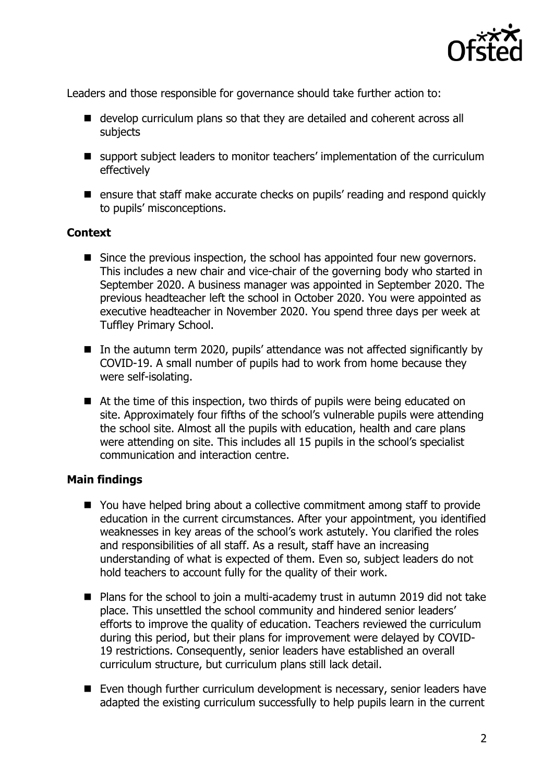

Leaders and those responsible for governance should take further action to:

- develop curriculum plans so that they are detailed and coherent across all subjects
- support subject leaders to monitor teachers' implementation of the curriculum effectively
- ensure that staff make accurate checks on pupils' reading and respond quickly to pupils' misconceptions.

## **Context**

- Since the previous inspection, the school has appointed four new governors. This includes a new chair and vice-chair of the governing body who started in September 2020. A business manager was appointed in September 2020. The previous headteacher left the school in October 2020. You were appointed as executive headteacher in November 2020. You spend three days per week at Tuffley Primary School.
- In the autumn term 2020, pupils' attendance was not affected significantly by COVID-19. A small number of pupils had to work from home because they were self-isolating.
- At the time of this inspection, two thirds of pupils were being educated on site. Approximately four fifths of the school's vulnerable pupils were attending the school site. Almost all the pupils with education, health and care plans were attending on site. This includes all 15 pupils in the school's specialist communication and interaction centre.

## **Main findings**

- You have helped bring about a collective commitment among staff to provide education in the current circumstances. After your appointment, you identified weaknesses in key areas of the school's work astutely. You clarified the roles and responsibilities of all staff. As a result, staff have an increasing understanding of what is expected of them. Even so, subject leaders do not hold teachers to account fully for the quality of their work.
- Plans for the school to join a multi-academy trust in autumn 2019 did not take place. This unsettled the school community and hindered senior leaders' efforts to improve the quality of education. Teachers reviewed the curriculum during this period, but their plans for improvement were delayed by COVID-19 restrictions. Consequently, senior leaders have established an overall curriculum structure, but curriculum plans still lack detail.
- Even though further curriculum development is necessary, senior leaders have adapted the existing curriculum successfully to help pupils learn in the current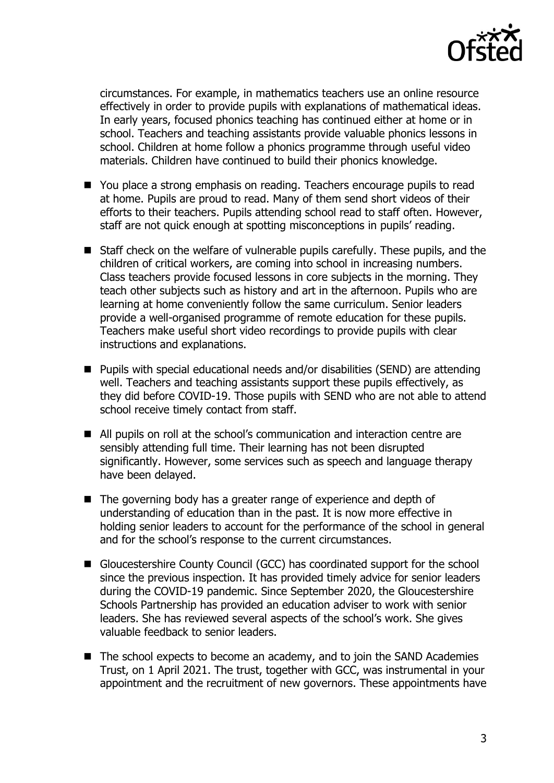

circumstances. For example, in mathematics teachers use an online resource effectively in order to provide pupils with explanations of mathematical ideas. In early years, focused phonics teaching has continued either at home or in school. Teachers and teaching assistants provide valuable phonics lessons in school. Children at home follow a phonics programme through useful video materials. Children have continued to build their phonics knowledge.

- You place a strong emphasis on reading. Teachers encourage pupils to read at home. Pupils are proud to read. Many of them send short videos of their efforts to their teachers. Pupils attending school read to staff often. However, staff are not quick enough at spotting misconceptions in pupils' reading.
- Staff check on the welfare of vulnerable pupils carefully. These pupils, and the children of critical workers, are coming into school in increasing numbers. Class teachers provide focused lessons in core subjects in the morning. They teach other subjects such as history and art in the afternoon. Pupils who are learning at home conveniently follow the same curriculum. Senior leaders provide a well-organised programme of remote education for these pupils. Teachers make useful short video recordings to provide pupils with clear instructions and explanations.
- Pupils with special educational needs and/or disabilities (SEND) are attending well. Teachers and teaching assistants support these pupils effectively, as they did before COVID-19. Those pupils with SEND who are not able to attend school receive timely contact from staff.
- All pupils on roll at the school's communication and interaction centre are sensibly attending full time. Their learning has not been disrupted significantly. However, some services such as speech and language therapy have been delayed.
- The governing body has a greater range of experience and depth of understanding of education than in the past. It is now more effective in holding senior leaders to account for the performance of the school in general and for the school's response to the current circumstances.
- Gloucestershire County Council (GCC) has coordinated support for the school since the previous inspection. It has provided timely advice for senior leaders during the COVID-19 pandemic. Since September 2020, the Gloucestershire Schools Partnership has provided an education adviser to work with senior leaders. She has reviewed several aspects of the school's work. She gives valuable feedback to senior leaders.
- The school expects to become an academy, and to join the SAND Academies Trust, on 1 April 2021. The trust, together with GCC, was instrumental in your appointment and the recruitment of new governors. These appointments have